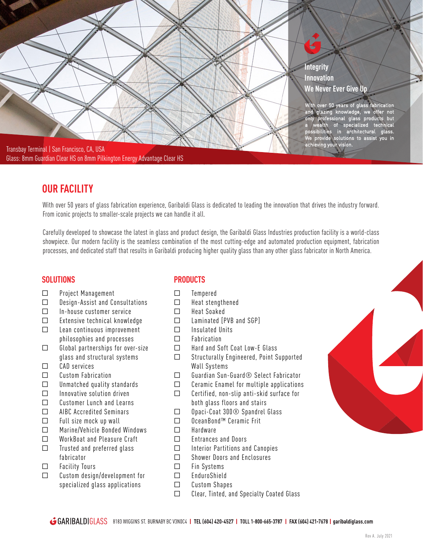

# **OUR FACILITY**

With over 50 years of glass fabrication experience, Garibaldi Glass is dedicated to leading the innovation that drives the industry forward. From iconic projects to smaller-scale projects we can handle it all.

Carefully developed to showcase the latest in glass and product design, the Garibaldi Glass Industries production facility is a world-class showpiece. Our modern facility is the seamless combination of the most cutting-edge and automated production equipment, fabrication processes, and dedicated staff that results in Garibaldi producing higher quality glass than any other glass fabricator in North America.

- □ Project Management
- □ Design-Assist and Consultations
- □ In-house customer service
- □ Extensive technical knowledge
- □ Lean continuous improvement
- philosophies and processes □ Global partnerships for over-size
- glass and structural systems
- $\Box$  CAD services
- □ Custom Fabrication
- □ Unmatched quality standards
- □ Innovative solution driven
- □ Customer Lunch and Learns
- □ AIBC Accredited Seminars
- □ Full size mock up wall
- □ Marine/Vehicle Bonded Windows
- □ WorkBoat and Pleasure Craft
- □ Trusted and preferred glass fabricator
- □ Facility Tours
- □ Custom design/development for specialized glass applications

## **SOLUTIONS PRODUCTS**

- □ Tempered
- □ Heat stengthened
- □ Heat Soaked
- □ Laminated [PVB and SGP]
- □ Insulated Units
- □ Fabrication
- □ Hard and Soft Coat Low-E Glass
- □ Structurally Engineered, Point Supported Wall Systems
- □ Guardian Sun-Guard® Select Fabricator
- □ Ceramic Enamel for multiple applications
- □ Certified, non-slip anti-skid surface for both glass floors and stairs
- □ Opaci-Coat 300® Spandrel Glass
- □ OceanBond™ Ceramic Frit
- □ Hardware
- □ Entrances and Doors
- □ Interior Partitions and Canopies
- □ Shower Doors and Enclosures
- □ Fin Systems
- □ EnduroShield
- □ Custom Shapes
- □ Clear, Tinted, and Specialty Coated Glass